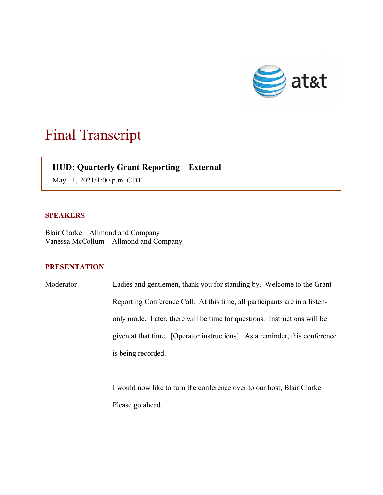

## Final Transcript

## **HUD: Quarterly Grant Reporting – External**

May 11, 2021/1:00 p.m. CDT

## **SPEAKERS**

 $\overline{\phantom{a}}$ 

Blair Clarke – Allmond and Company Vanessa McCollum – Allmond and Company

## **PRESENTATION**

Moderator Ladies and gentlemen, thank you for standing by. Welcome to the Grant Reporting Conference Call. At this time, all participants are in a listenonly mode. Later, there will be time for questions. Instructions will be given at that time. [Operator instructions]. As a reminder, this conference is being recorded.

> I would now like to turn the conference over to our host, Blair Clarke. Please go ahead.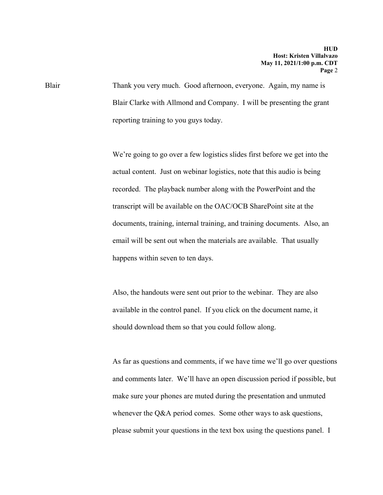Blair Thank you very much. Good afternoon, everyone. Again, my name is Blair Clarke with Allmond and Company. I will be presenting the grant reporting training to you guys today.

> We're going to go over a few logistics slides first before we get into the actual content. Just on webinar logistics, note that this audio is being recorded. The playback number along with the PowerPoint and the transcript will be available on the OAC/OCB SharePoint site at the documents, training, internal training, and training documents. Also, an email will be sent out when the materials are available. That usually happens within seven to ten days.

Also, the handouts were sent out prior to the webinar. They are also available in the control panel. If you click on the document name, it should download them so that you could follow along.

As far as questions and comments, if we have time we'll go over questions and comments later. We'll have an open discussion period if possible, but make sure your phones are muted during the presentation and unmuted whenever the Q&A period comes. Some other ways to ask questions, please submit your questions in the text box using the questions panel. I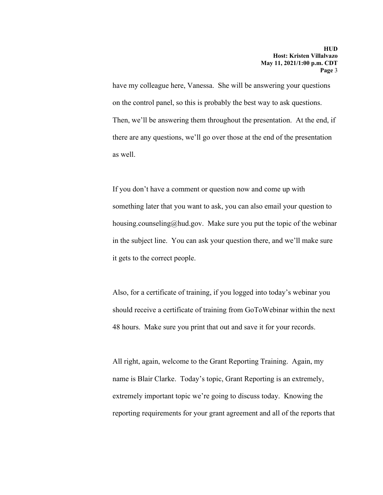have my colleague here, Vanessa. She will be answering your questions on the control panel, so this is probably the best way to ask questions. Then, we'll be answering them throughout the presentation. At the end, if there are any questions, we'll go over those at the end of the presentation as well.

If you don't have a comment or question now and come up with something later that you want to ask, you can also email your question to housing.counseling@hud.gov. Make sure you put the topic of the webinar in the subject line. You can ask your question there, and we'll make sure it gets to the correct people.

Also, for a certificate of training, if you logged into today's webinar you should receive a certificate of training from GoToWebinar within the next 48 hours. Make sure you print that out and save it for your records.

All right, again, welcome to the Grant Reporting Training. Again, my name is Blair Clarke. Today's topic, Grant Reporting is an extremely, extremely important topic we're going to discuss today. Knowing the reporting requirements for your grant agreement and all of the reports that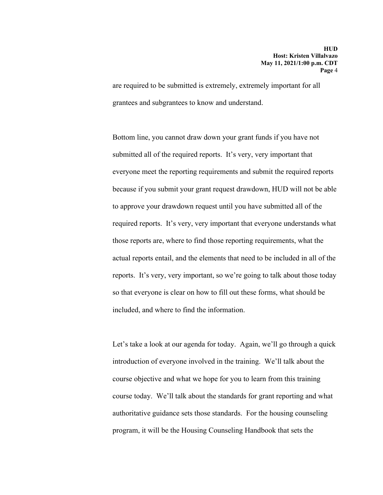are required to be submitted is extremely, extremely important for all grantees and subgrantees to know and understand.

Bottom line, you cannot draw down your grant funds if you have not submitted all of the required reports. It's very, very important that everyone meet the reporting requirements and submit the required reports because if you submit your grant request drawdown, HUD will not be able to approve your drawdown request until you have submitted all of the required reports. It's very, very important that everyone understands what those reports are, where to find those reporting requirements, what the actual reports entail, and the elements that need to be included in all of the reports. It's very, very important, so we're going to talk about those today so that everyone is clear on how to fill out these forms, what should be included, and where to find the information.

Let's take a look at our agenda for today. Again, we'll go through a quick introduction of everyone involved in the training. We'll talk about the course objective and what we hope for you to learn from this training course today. We'll talk about the standards for grant reporting and what authoritative guidance sets those standards. For the housing counseling program, it will be the Housing Counseling Handbook that sets the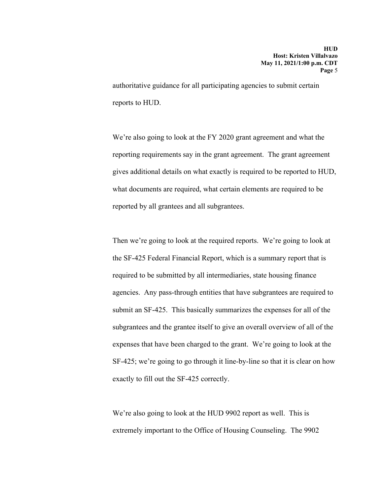authoritative guidance for all participating agencies to submit certain reports to HUD.

We're also going to look at the FY 2020 grant agreement and what the reporting requirements say in the grant agreement. The grant agreement gives additional details on what exactly is required to be reported to HUD, what documents are required, what certain elements are required to be reported by all grantees and all subgrantees.

Then we're going to look at the required reports. We're going to look at the SF-425 Federal Financial Report, which is a summary report that is required to be submitted by all intermediaries, state housing finance agencies. Any pass-through entities that have subgrantees are required to submit an SF-425. This basically summarizes the expenses for all of the subgrantees and the grantee itself to give an overall overview of all of the expenses that have been charged to the grant. We're going to look at the SF-425; we're going to go through it line-by-line so that it is clear on how exactly to fill out the SF-425 correctly.

We're also going to look at the HUD 9902 report as well. This is extremely important to the Office of Housing Counseling. The 9902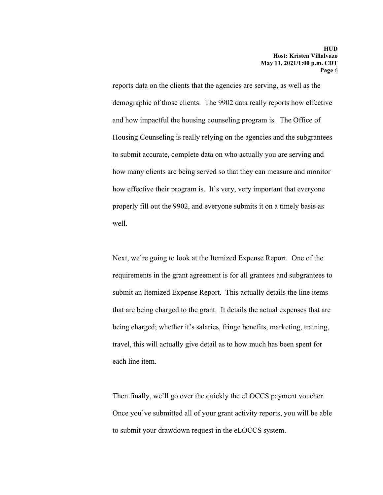reports data on the clients that the agencies are serving, as well as the demographic of those clients. The 9902 data really reports how effective and how impactful the housing counseling program is. The Office of Housing Counseling is really relying on the agencies and the subgrantees to submit accurate, complete data on who actually you are serving and how many clients are being served so that they can measure and monitor how effective their program is. It's very, very important that everyone properly fill out the 9902, and everyone submits it on a timely basis as well.

Next, we're going to look at the Itemized Expense Report. One of the requirements in the grant agreement is for all grantees and subgrantees to submit an Itemized Expense Report. This actually details the line items that are being charged to the grant. It details the actual expenses that are being charged; whether it's salaries, fringe benefits, marketing, training, travel, this will actually give detail as to how much has been spent for each line item.

Then finally, we'll go over the quickly the eLOCCS payment voucher. Once you've submitted all of your grant activity reports, you will be able to submit your drawdown request in the eLOCCS system.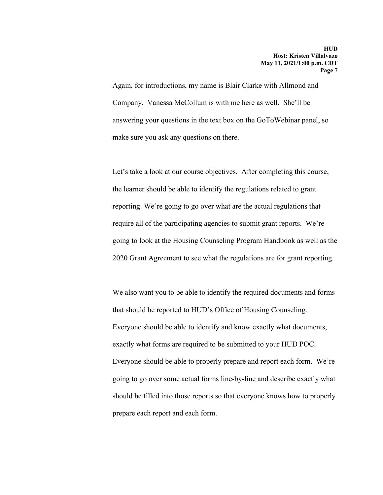Again, for introductions, my name is Blair Clarke with Allmond and Company. Vanessa McCollum is with me here as well. She'll be answering your questions in the text box on the GoToWebinar panel, so make sure you ask any questions on there.

Let's take a look at our course objectives. After completing this course, the learner should be able to identify the regulations related to grant reporting. We're going to go over what are the actual regulations that require all of the participating agencies to submit grant reports. We're going to look at the Housing Counseling Program Handbook as well as the 2020 Grant Agreement to see what the regulations are for grant reporting.

We also want you to be able to identify the required documents and forms that should be reported to HUD's Office of Housing Counseling. Everyone should be able to identify and know exactly what documents, exactly what forms are required to be submitted to your HUD POC. Everyone should be able to properly prepare and report each form. We're going to go over some actual forms line-by-line and describe exactly what should be filled into those reports so that everyone knows how to properly prepare each report and each form.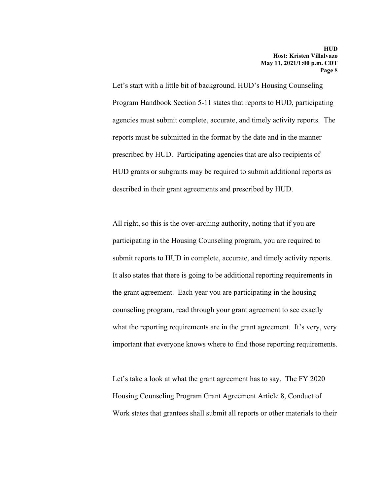Let's start with a little bit of background. HUD's Housing Counseling Program Handbook Section 5-11 states that reports to HUD, participating agencies must submit complete, accurate, and timely activity reports. The reports must be submitted in the format by the date and in the manner prescribed by HUD. Participating agencies that are also recipients of HUD grants or subgrants may be required to submit additional reports as described in their grant agreements and prescribed by HUD.

All right, so this is the over-arching authority, noting that if you are participating in the Housing Counseling program, you are required to submit reports to HUD in complete, accurate, and timely activity reports. It also states that there is going to be additional reporting requirements in the grant agreement. Each year you are participating in the housing counseling program, read through your grant agreement to see exactly what the reporting requirements are in the grant agreement. It's very, very important that everyone knows where to find those reporting requirements.

Let's take a look at what the grant agreement has to say. The FY 2020 Housing Counseling Program Grant Agreement Article 8, Conduct of Work states that grantees shall submit all reports or other materials to their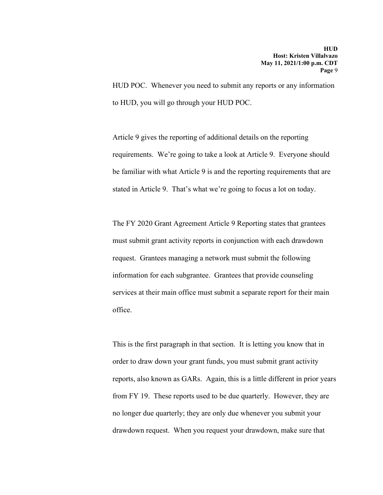HUD POC. Whenever you need to submit any reports or any information to HUD, you will go through your HUD POC.

Article 9 gives the reporting of additional details on the reporting requirements. We're going to take a look at Article 9. Everyone should be familiar with what Article 9 is and the reporting requirements that are stated in Article 9. That's what we're going to focus a lot on today.

The FY 2020 Grant Agreement Article 9 Reporting states that grantees must submit grant activity reports in conjunction with each drawdown request. Grantees managing a network must submit the following information for each subgrantee. Grantees that provide counseling services at their main office must submit a separate report for their main office.

This is the first paragraph in that section. It is letting you know that in order to draw down your grant funds, you must submit grant activity reports, also known as GARs. Again, this is a little different in prior years from FY 19. These reports used to be due quarterly. However, they are no longer due quarterly; they are only due whenever you submit your drawdown request. When you request your drawdown, make sure that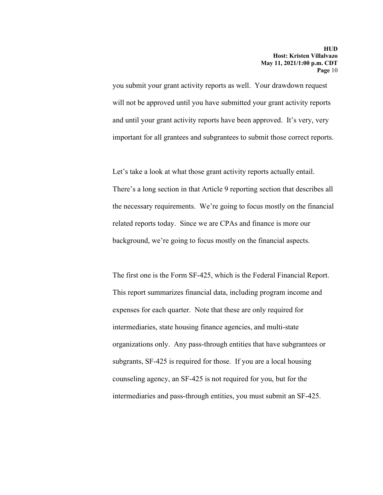you submit your grant activity reports as well. Your drawdown request will not be approved until you have submitted your grant activity reports and until your grant activity reports have been approved. It's very, very important for all grantees and subgrantees to submit those correct reports.

Let's take a look at what those grant activity reports actually entail. There's a long section in that Article 9 reporting section that describes all the necessary requirements. We're going to focus mostly on the financial related reports today. Since we are CPAs and finance is more our background, we're going to focus mostly on the financial aspects.

The first one is the Form SF-425, which is the Federal Financial Report. This report summarizes financial data, including program income and expenses for each quarter. Note that these are only required for intermediaries, state housing finance agencies, and multi-state organizations only. Any pass-through entities that have subgrantees or subgrants, SF-425 is required for those. If you are a local housing counseling agency, an SF-425 is not required for you, but for the intermediaries and pass-through entities, you must submit an SF-425.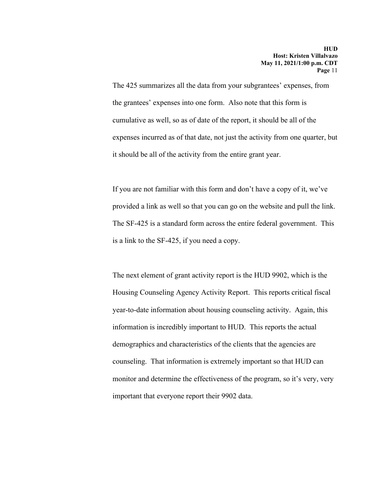The 425 summarizes all the data from your subgrantees' expenses, from the grantees' expenses into one form. Also note that this form is cumulative as well, so as of date of the report, it should be all of the expenses incurred as of that date, not just the activity from one quarter, but it should be all of the activity from the entire grant year.

If you are not familiar with this form and don't have a copy of it, we've provided a link as well so that you can go on the website and pull the link. The SF-425 is a standard form across the entire federal government. This is a link to the SF-425, if you need a copy.

The next element of grant activity report is the HUD 9902, which is the Housing Counseling Agency Activity Report. This reports critical fiscal year-to-date information about housing counseling activity. Again, this information is incredibly important to HUD. This reports the actual demographics and characteristics of the clients that the agencies are counseling. That information is extremely important so that HUD can monitor and determine the effectiveness of the program, so it's very, very important that everyone report their 9902 data.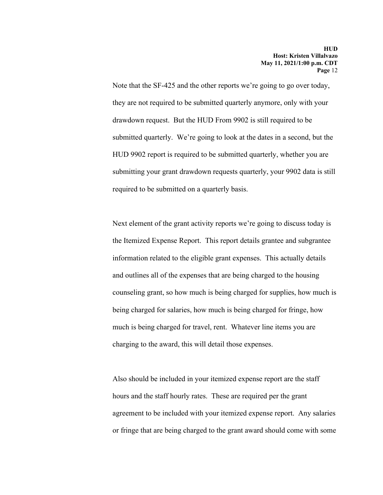Note that the SF-425 and the other reports we're going to go over today, they are not required to be submitted quarterly anymore, only with your drawdown request. But the HUD From 9902 is still required to be submitted quarterly. We're going to look at the dates in a second, but the HUD 9902 report is required to be submitted quarterly, whether you are submitting your grant drawdown requests quarterly, your 9902 data is still required to be submitted on a quarterly basis.

Next element of the grant activity reports we're going to discuss today is the Itemized Expense Report. This report details grantee and subgrantee information related to the eligible grant expenses. This actually details and outlines all of the expenses that are being charged to the housing counseling grant, so how much is being charged for supplies, how much is being charged for salaries, how much is being charged for fringe, how much is being charged for travel, rent. Whatever line items you are charging to the award, this will detail those expenses.

Also should be included in your itemized expense report are the staff hours and the staff hourly rates. These are required per the grant agreement to be included with your itemized expense report. Any salaries or fringe that are being charged to the grant award should come with some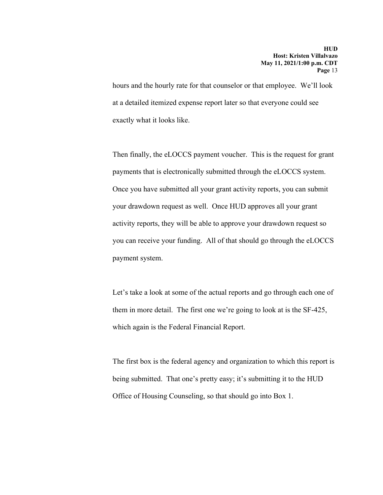hours and the hourly rate for that counselor or that employee. We'll look at a detailed itemized expense report later so that everyone could see exactly what it looks like.

Then finally, the eLOCCS payment voucher. This is the request for grant payments that is electronically submitted through the eLOCCS system. Once you have submitted all your grant activity reports, you can submit your drawdown request as well. Once HUD approves all your grant activity reports, they will be able to approve your drawdown request so you can receive your funding. All of that should go through the eLOCCS payment system.

Let's take a look at some of the actual reports and go through each one of them in more detail. The first one we're going to look at is the SF-425, which again is the Federal Financial Report.

The first box is the federal agency and organization to which this report is being submitted. That one's pretty easy; it's submitting it to the HUD Office of Housing Counseling, so that should go into Box 1.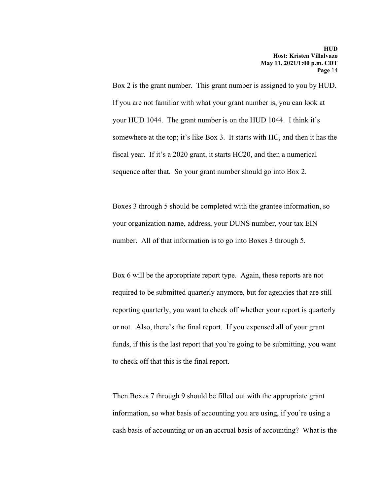Box 2 is the grant number. This grant number is assigned to you by HUD. If you are not familiar with what your grant number is, you can look at your HUD 1044. The grant number is on the HUD 1044. I think it's somewhere at the top; it's like Box 3. It starts with HC, and then it has the fiscal year. If it's a 2020 grant, it starts HC20, and then a numerical sequence after that. So your grant number should go into Box 2.

Boxes 3 through 5 should be completed with the grantee information, so your organization name, address, your DUNS number, your tax EIN number. All of that information is to go into Boxes 3 through 5.

Box 6 will be the appropriate report type. Again, these reports are not required to be submitted quarterly anymore, but for agencies that are still reporting quarterly, you want to check off whether your report is quarterly or not. Also, there's the final report. If you expensed all of your grant funds, if this is the last report that you're going to be submitting, you want to check off that this is the final report.

Then Boxes 7 through 9 should be filled out with the appropriate grant information, so what basis of accounting you are using, if you're using a cash basis of accounting or on an accrual basis of accounting? What is the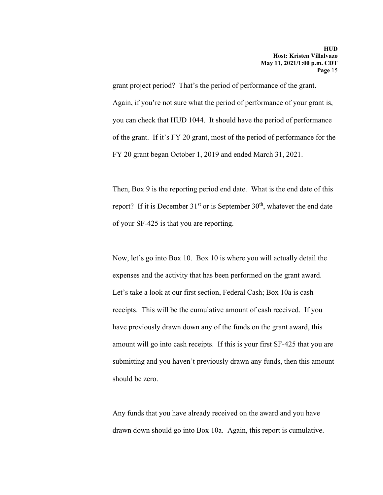grant project period? That's the period of performance of the grant. Again, if you're not sure what the period of performance of your grant is, you can check that HUD 1044. It should have the period of performance of the grant. If it's FY 20 grant, most of the period of performance for the FY 20 grant began October 1, 2019 and ended March 31, 2021.

Then, Box 9 is the reporting period end date. What is the end date of this report? If it is December  $31<sup>st</sup>$  or is September  $30<sup>th</sup>$ , whatever the end date of your SF-425 is that you are reporting.

Now, let's go into Box 10. Box 10 is where you will actually detail the expenses and the activity that has been performed on the grant award. Let's take a look at our first section, Federal Cash; Box 10a is cash receipts. This will be the cumulative amount of cash received. If you have previously drawn down any of the funds on the grant award, this amount will go into cash receipts. If this is your first SF-425 that you are submitting and you haven't previously drawn any funds, then this amount should be zero.

Any funds that you have already received on the award and you have drawn down should go into Box 10a. Again, this report is cumulative.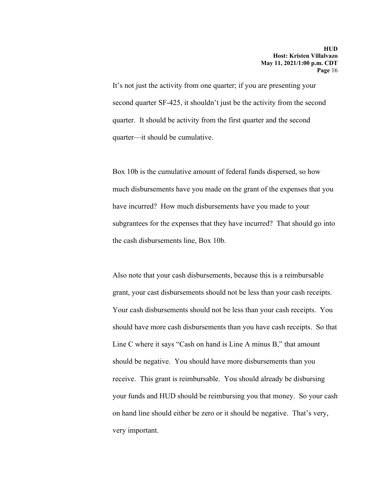It's not just the activity from one quarter; if you are presenting your second quarter SF-425, it shouldn't just be the activity from the second quarter. It should be activity from the first quarter and the second quarter—it should be cumulative.

Box 10b is the cumulative amount of federal funds dispersed, so how much disbursements have you made on the grant of the expenses that you have incurred? How much disbursements have you made to your subgrantees for the expenses that they have incurred? That should go into the cash disbursements line, Box 10b.

Also note that your cash disbursements, because this is a reimbursable grant, your cast disbursements should not be less than your cash receipts. Your cash disbursements should not be less than your cash receipts. You should have more cash disbursements than you have cash receipts. So that Line C where it says "Cash on hand is Line A minus B," that amount should be negative. You should have more disbursements than you receive. This grant is reimbursable. You should already be disbursing your funds and HUD should be reimbursing you that money. So your cash on hand line should either be zero or it should be negative. That's very, very important.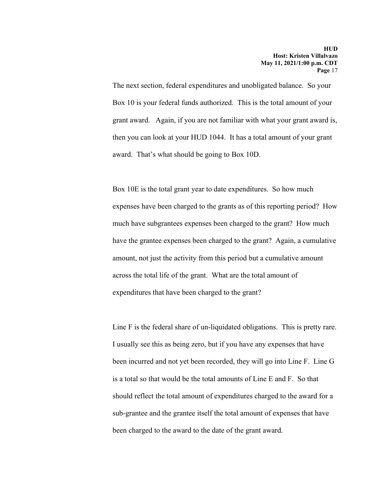The next section, federal expenditures and unobligated balance. So your Box 10 is your federal funds authorized. This is the total amount of your grant award. Again, if you are not familiar with what your grant award is, then you can look at your HUD 1044. It has a total amount of your grant award. That's what should be going to Box 10D.

Box 10E is the total grant year to date expenditures. So how much expenses have been charged to the grants as of this reporting period? How much have subgrantees expenses been charged to the grant? How much have the grantee expenses been charged to the grant? Again, a cumulative amount, not just the activity from this period but a cumulative amount across the total life of the grant. What are the total amount of expenditures that have been charged to the grant?

Line F is the federal share of un-liquidated obligations. This is pretty rare. I usually see this as being zero, but if you have any expenses that have been incurred and not yet been recorded, they will go into Line F. Line G is a total so that would be the total amounts of Line E and F. So that should reflect the total amount of expenditures charged to the award for a sub-grantee and the grantee itself the total amount of expenses that have been charged to the award to the date of the grant award.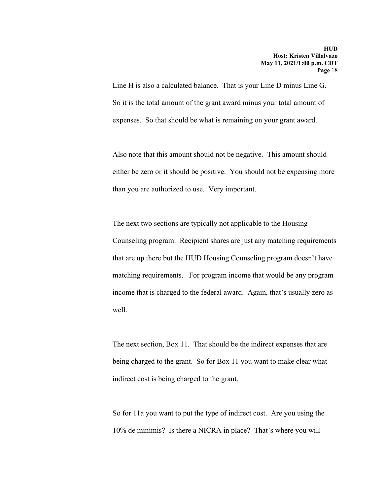Line H is also a calculated balance. That is your Line D minus Line G. So it is the total amount of the grant award minus your total amount of expenses. So that should be what is remaining on your grant award.

Also note that this amount should not be negative. This amount should either be zero or it should be positive. You should not be expensing more than you are authorized to use. Very important.

The next two sections are typically not applicable to the Housing Counseling program. Recipient shares are just any matching requirements that are up there but the HUD Housing Counseling program doesn't have matching requirements. For program income that would be any program income that is charged to the federal award. Again, that's usually zero as well.

The next section, Box 11. That should be the indirect expenses that are being charged to the grant. So for Box 11 you want to make clear what indirect cost is being charged to the grant.

So for 11a you want to put the type of indirect cost. Are you using the 10% de minimis? Is there a NICRA in place? That's where you will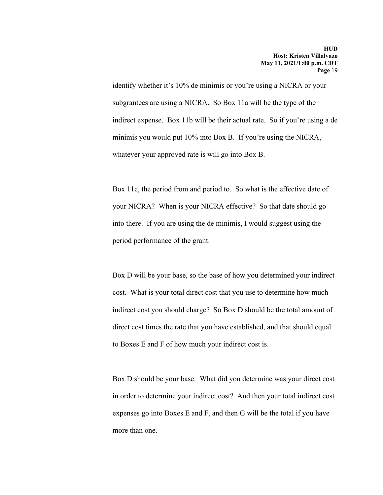identify whether it's 10% de minimis or you're using a NICRA or your subgrantees are using a NICRA. So Box 11a will be the type of the indirect expense. Box 11b will be their actual rate. So if you're using a de minimis you would put 10% into Box B. If you're using the NICRA, whatever your approved rate is will go into Box B.

Box 11c, the period from and period to. So what is the effective date of your NICRA? When is your NICRA effective? So that date should go into there. If you are using the de minimis, I would suggest using the period performance of the grant.

Box D will be your base, so the base of how you determined your indirect cost. What is your total direct cost that you use to determine how much indirect cost you should charge? So Box D should be the total amount of direct cost times the rate that you have established, and that should equal to Boxes E and F of how much your indirect cost is.

Box D should be your base. What did you determine was your direct cost in order to determine your indirect cost? And then your total indirect cost expenses go into Boxes E and F, and then G will be the total if you have more than one.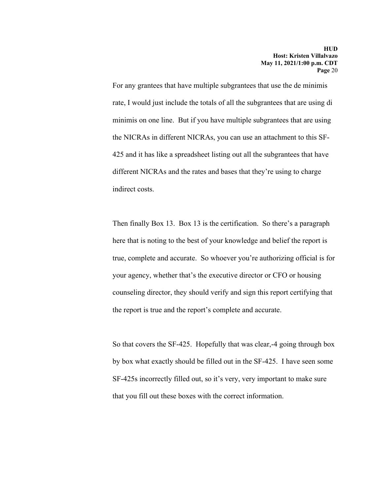For any grantees that have multiple subgrantees that use the de minimis rate, I would just include the totals of all the subgrantees that are using di minimis on one line. But if you have multiple subgrantees that are using the NICRAs in different NICRAs, you can use an attachment to this SF-425 and it has like a spreadsheet listing out all the subgrantees that have different NICRAs and the rates and bases that they're using to charge indirect costs.

Then finally Box 13. Box 13 is the certification. So there's a paragraph here that is noting to the best of your knowledge and belief the report is true, complete and accurate. So whoever you're authorizing official is for your agency, whether that's the executive director or CFO or housing counseling director, they should verify and sign this report certifying that the report is true and the report's complete and accurate.

So that covers the SF-425. Hopefully that was clear,-4 going through box by box what exactly should be filled out in the SF-425. I have seen some SF-425s incorrectly filled out, so it's very, very important to make sure that you fill out these boxes with the correct information.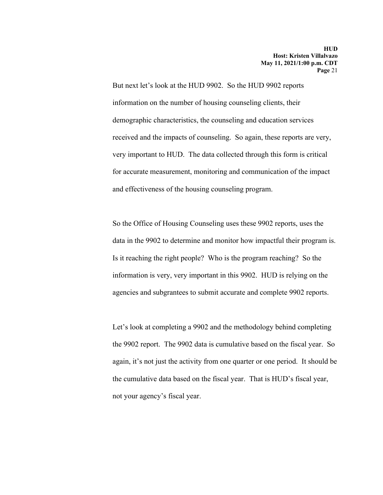But next let's look at the HUD 9902. So the HUD 9902 reports information on the number of housing counseling clients, their demographic characteristics, the counseling and education services received and the impacts of counseling. So again, these reports are very, very important to HUD. The data collected through this form is critical for accurate measurement, monitoring and communication of the impact and effectiveness of the housing counseling program.

So the Office of Housing Counseling uses these 9902 reports, uses the data in the 9902 to determine and monitor how impactful their program is. Is it reaching the right people? Who is the program reaching? So the information is very, very important in this 9902. HUD is relying on the agencies and subgrantees to submit accurate and complete 9902 reports.

Let's look at completing a 9902 and the methodology behind completing the 9902 report. The 9902 data is cumulative based on the fiscal year. So again, it's not just the activity from one quarter or one period. It should be the cumulative data based on the fiscal year. That is HUD's fiscal year, not your agency's fiscal year.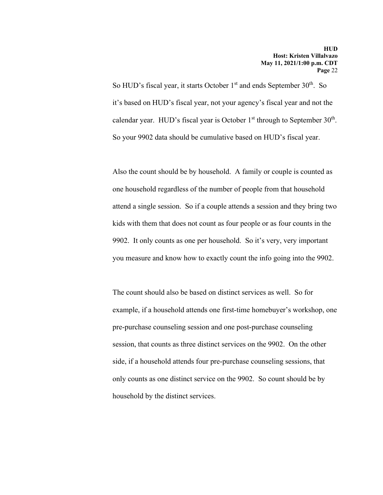So HUD's fiscal year, it starts October  $1<sup>st</sup>$  and ends September  $30<sup>th</sup>$ . So it's based on HUD's fiscal year, not your agency's fiscal year and not the calendar year. HUD's fiscal year is October  $1<sup>st</sup>$  through to September  $30<sup>th</sup>$ . So your 9902 data should be cumulative based on HUD's fiscal year.

Also the count should be by household. A family or couple is counted as one household regardless of the number of people from that household attend a single session. So if a couple attends a session and they bring two kids with them that does not count as four people or as four counts in the 9902. It only counts as one per household. So it's very, very important you measure and know how to exactly count the info going into the 9902.

The count should also be based on distinct services as well. So for example, if a household attends one first-time homebuyer's workshop, one pre-purchase counseling session and one post-purchase counseling session, that counts as three distinct services on the 9902. On the other side, if a household attends four pre-purchase counseling sessions, that only counts as one distinct service on the 9902. So count should be by household by the distinct services.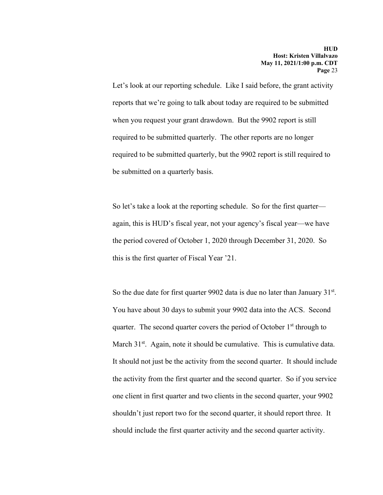Let's look at our reporting schedule. Like I said before, the grant activity reports that we're going to talk about today are required to be submitted when you request your grant drawdown. But the 9902 report is still required to be submitted quarterly. The other reports are no longer required to be submitted quarterly, but the 9902 report is still required to be submitted on a quarterly basis.

So let's take a look at the reporting schedule. So for the first quarter again, this is HUD's fiscal year, not your agency's fiscal year—we have the period covered of October 1, 2020 through December 31, 2020. So this is the first quarter of Fiscal Year '21.

So the due date for first quarter 9902 data is due no later than January  $31<sup>st</sup>$ . You have about 30 days to submit your 9902 data into the ACS. Second quarter. The second quarter covers the period of October  $1<sup>st</sup>$  through to March 31<sup>st</sup>. Again, note it should be cumulative. This is cumulative data. It should not just be the activity from the second quarter. It should include the activity from the first quarter and the second quarter. So if you service one client in first quarter and two clients in the second quarter, your 9902 shouldn't just report two for the second quarter, it should report three. It should include the first quarter activity and the second quarter activity.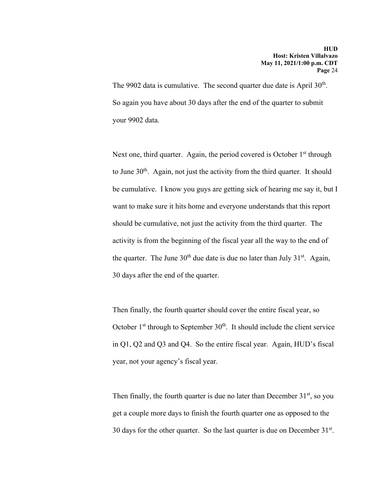The 9902 data is cumulative. The second quarter due date is April  $30<sup>th</sup>$ . So again you have about 30 days after the end of the quarter to submit your 9902 data.

Next one, third quarter. Again, the period covered is October  $1<sup>st</sup>$  through to June  $30<sup>th</sup>$ . Again, not just the activity from the third quarter. It should be cumulative. I know you guys are getting sick of hearing me say it, but I want to make sure it hits home and everyone understands that this report should be cumulative, not just the activity from the third quarter. The activity is from the beginning of the fiscal year all the way to the end of the quarter. The June  $30<sup>th</sup>$  due date is due no later than July  $31<sup>st</sup>$ . Again, 30 days after the end of the quarter.

Then finally, the fourth quarter should cover the entire fiscal year, so October  $1<sup>st</sup>$  through to September  $30<sup>th</sup>$ . It should include the client service in Q1, Q2 and Q3 and Q4. So the entire fiscal year. Again, HUD's fiscal year, not your agency's fiscal year.

Then finally, the fourth quarter is due no later than December  $31<sup>st</sup>$ , so you get a couple more days to finish the fourth quarter one as opposed to the 30 days for the other quarter. So the last quarter is due on December  $31<sup>st</sup>$ .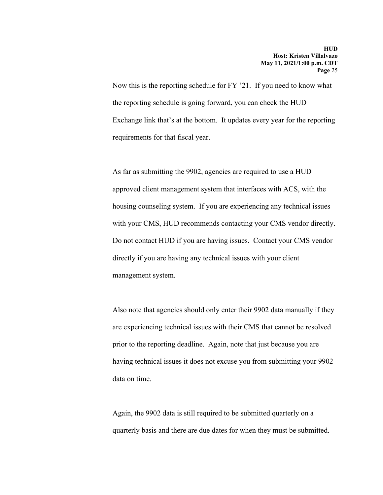Now this is the reporting schedule for FY '21. If you need to know what the reporting schedule is going forward, you can check the HUD Exchange link that's at the bottom. It updates every year for the reporting requirements for that fiscal year.

As far as submitting the 9902, agencies are required to use a HUD approved client management system that interfaces with ACS, with the housing counseling system. If you are experiencing any technical issues with your CMS, HUD recommends contacting your CMS vendor directly. Do not contact HUD if you are having issues. Contact your CMS vendor directly if you are having any technical issues with your client management system.

Also note that agencies should only enter their 9902 data manually if they are experiencing technical issues with their CMS that cannot be resolved prior to the reporting deadline. Again, note that just because you are having technical issues it does not excuse you from submitting your 9902 data on time.

Again, the 9902 data is still required to be submitted quarterly on a quarterly basis and there are due dates for when they must be submitted.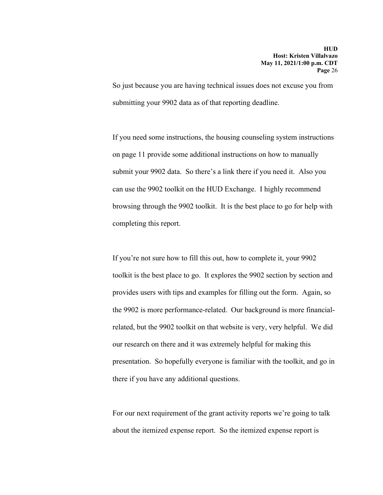So just because you are having technical issues does not excuse you from submitting your 9902 data as of that reporting deadline.

If you need some instructions, the housing counseling system instructions on page 11 provide some additional instructions on how to manually submit your 9902 data. So there's a link there if you need it. Also you can use the 9902 toolkit on the HUD Exchange. I highly recommend browsing through the 9902 toolkit. It is the best place to go for help with completing this report.

If you're not sure how to fill this out, how to complete it, your 9902 toolkit is the best place to go. It explores the 9902 section by section and provides users with tips and examples for filling out the form. Again, so the 9902 is more performance-related. Our background is more financialrelated, but the 9902 toolkit on that website is very, very helpful. We did our research on there and it was extremely helpful for making this presentation. So hopefully everyone is familiar with the toolkit, and go in there if you have any additional questions.

For our next requirement of the grant activity reports we're going to talk about the itemized expense report. So the itemized expense report is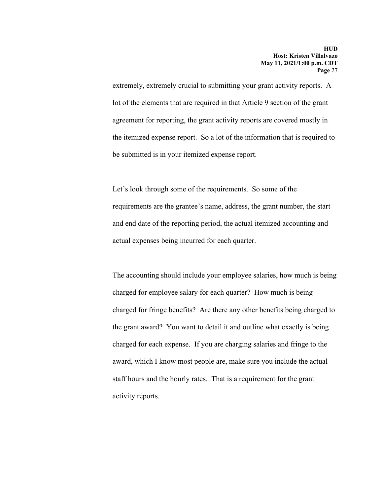extremely, extremely crucial to submitting your grant activity reports. A lot of the elements that are required in that Article 9 section of the grant agreement for reporting, the grant activity reports are covered mostly in the itemized expense report. So a lot of the information that is required to be submitted is in your itemized expense report.

Let's look through some of the requirements. So some of the requirements are the grantee's name, address, the grant number, the start and end date of the reporting period, the actual itemized accounting and actual expenses being incurred for each quarter.

The accounting should include your employee salaries, how much is being charged for employee salary for each quarter? How much is being charged for fringe benefits? Are there any other benefits being charged to the grant award? You want to detail it and outline what exactly is being charged for each expense. If you are charging salaries and fringe to the award, which I know most people are, make sure you include the actual staff hours and the hourly rates. That is a requirement for the grant activity reports.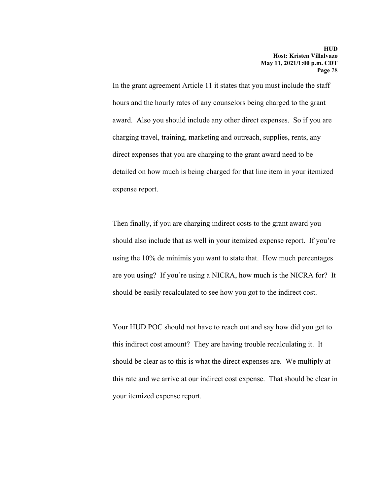In the grant agreement Article 11 it states that you must include the staff hours and the hourly rates of any counselors being charged to the grant award. Also you should include any other direct expenses. So if you are charging travel, training, marketing and outreach, supplies, rents, any direct expenses that you are charging to the grant award need to be detailed on how much is being charged for that line item in your itemized expense report.

Then finally, if you are charging indirect costs to the grant award you should also include that as well in your itemized expense report. If you're using the 10% de minimis you want to state that. How much percentages are you using? If you're using a NICRA, how much is the NICRA for? It should be easily recalculated to see how you got to the indirect cost.

Your HUD POC should not have to reach out and say how did you get to this indirect cost amount? They are having trouble recalculating it. It should be clear as to this is what the direct expenses are. We multiply at this rate and we arrive at our indirect cost expense. That should be clear in your itemized expense report.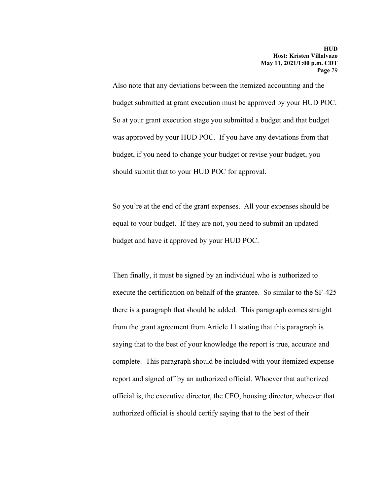Also note that any deviations between the itemized accounting and the budget submitted at grant execution must be approved by your HUD POC. So at your grant execution stage you submitted a budget and that budget was approved by your HUD POC. If you have any deviations from that budget, if you need to change your budget or revise your budget, you should submit that to your HUD POC for approval.

So you're at the end of the grant expenses. All your expenses should be equal to your budget. If they are not, you need to submit an updated budget and have it approved by your HUD POC.

Then finally, it must be signed by an individual who is authorized to execute the certification on behalf of the grantee. So similar to the SF-425 there is a paragraph that should be added. This paragraph comes straight from the grant agreement from Article 11 stating that this paragraph is saying that to the best of your knowledge the report is true, accurate and complete. This paragraph should be included with your itemized expense report and signed off by an authorized official. Whoever that authorized official is, the executive director, the CFO, housing director, whoever that authorized official is should certify saying that to the best of their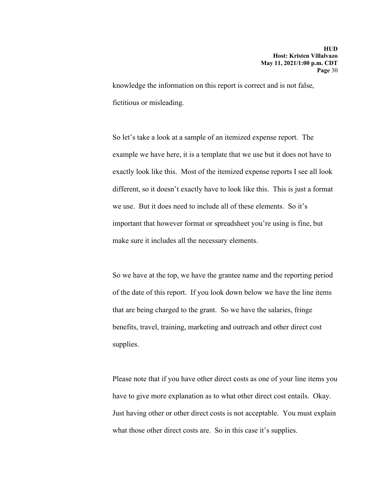knowledge the information on this report is correct and is not false, fictitious or misleading.

So let's take a look at a sample of an itemized expense report. The example we have here, it is a template that we use but it does not have to exactly look like this. Most of the itemized expense reports I see all look different, so it doesn't exactly have to look like this. This is just a format we use. But it does need to include all of these elements. So it's important that however format or spreadsheet you're using is fine, but make sure it includes all the necessary elements.

So we have at the top, we have the grantee name and the reporting period of the date of this report. If you look down below we have the line items that are being charged to the grant. So we have the salaries, fringe benefits, travel, training, marketing and outreach and other direct cost supplies.

Please note that if you have other direct costs as one of your line items you have to give more explanation as to what other direct cost entails. Okay. Just having other or other direct costs is not acceptable. You must explain what those other direct costs are. So in this case it's supplies.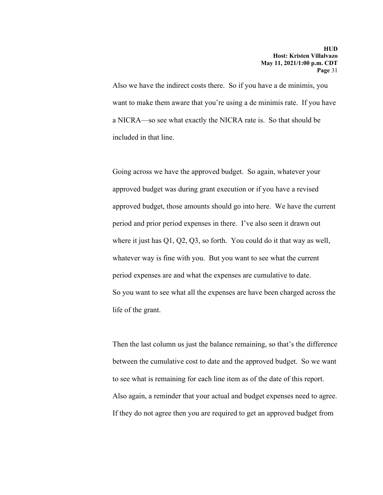Also we have the indirect costs there. So if you have a de minimis, you want to make them aware that you're using a de minimis rate. If you have a NICRA—so see what exactly the NICRA rate is. So that should be included in that line.

Going across we have the approved budget. So again, whatever your approved budget was during grant execution or if you have a revised approved budget, those amounts should go into here. We have the current period and prior period expenses in there. I've also seen it drawn out where it just has Q1, Q2, Q3, so forth. You could do it that way as well, whatever way is fine with you. But you want to see what the current period expenses are and what the expenses are cumulative to date. So you want to see what all the expenses are have been charged across the life of the grant.

Then the last column us just the balance remaining, so that's the difference between the cumulative cost to date and the approved budget. So we want to see what is remaining for each line item as of the date of this report. Also again, a reminder that your actual and budget expenses need to agree. If they do not agree then you are required to get an approved budget from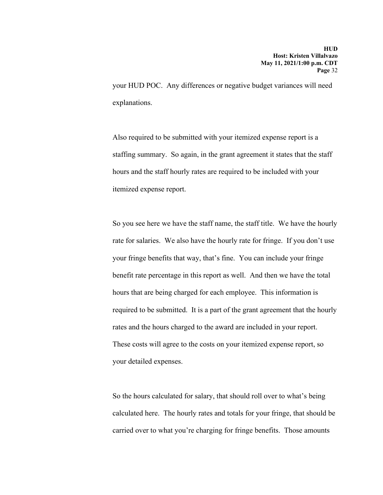your HUD POC. Any differences or negative budget variances will need explanations.

Also required to be submitted with your itemized expense report is a staffing summary. So again, in the grant agreement it states that the staff hours and the staff hourly rates are required to be included with your itemized expense report.

So you see here we have the staff name, the staff title. We have the hourly rate for salaries. We also have the hourly rate for fringe. If you don't use your fringe benefits that way, that's fine. You can include your fringe benefit rate percentage in this report as well. And then we have the total hours that are being charged for each employee. This information is required to be submitted. It is a part of the grant agreement that the hourly rates and the hours charged to the award are included in your report. These costs will agree to the costs on your itemized expense report, so your detailed expenses.

So the hours calculated for salary, that should roll over to what's being calculated here. The hourly rates and totals for your fringe, that should be carried over to what you're charging for fringe benefits. Those amounts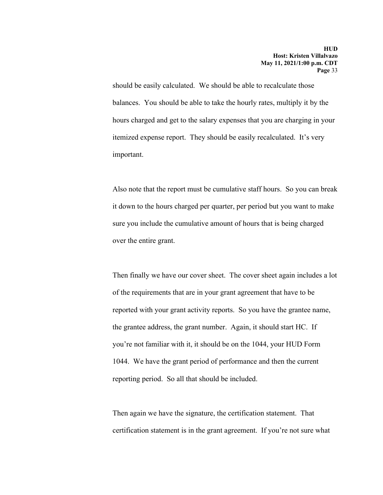should be easily calculated. We should be able to recalculate those balances. You should be able to take the hourly rates, multiply it by the hours charged and get to the salary expenses that you are charging in your itemized expense report. They should be easily recalculated. It's very important.

Also note that the report must be cumulative staff hours. So you can break it down to the hours charged per quarter, per period but you want to make sure you include the cumulative amount of hours that is being charged over the entire grant.

Then finally we have our cover sheet. The cover sheet again includes a lot of the requirements that are in your grant agreement that have to be reported with your grant activity reports. So you have the grantee name, the grantee address, the grant number. Again, it should start HC. If you're not familiar with it, it should be on the 1044, your HUD Form 1044. We have the grant period of performance and then the current reporting period. So all that should be included.

Then again we have the signature, the certification statement. That certification statement is in the grant agreement. If you're not sure what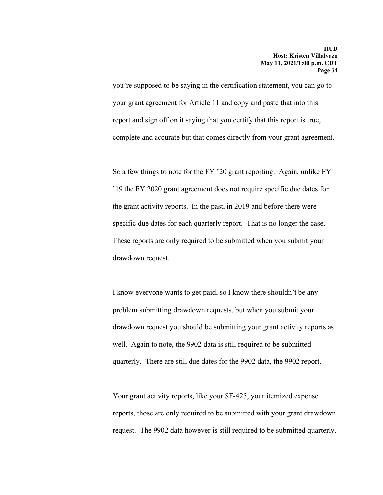you're supposed to be saying in the certification statement, you can go to your grant agreement for Article 11 and copy and paste that into this report and sign off on it saying that you certify that this report is true, complete and accurate but that comes directly from your grant agreement.

So a few things to note for the FY '20 grant reporting. Again, unlike FY '19 the FY 2020 grant agreement does not require specific due dates for the grant activity reports. In the past, in 2019 and before there were specific due dates for each quarterly report. That is no longer the case. These reports are only required to be submitted when you submit your drawdown request.

I know everyone wants to get paid, so I know there shouldn't be any problem submitting drawdown requests, but when you submit your drawdown request you should be submitting your grant activity reports as well. Again to note, the 9902 data is still required to be submitted quarterly. There are still due dates for the 9902 data, the 9902 report.

Your grant activity reports, like your SF-425, your itemized expense reports, those are only required to be submitted with your grant drawdown request. The 9902 data however is still required to be submitted quarterly.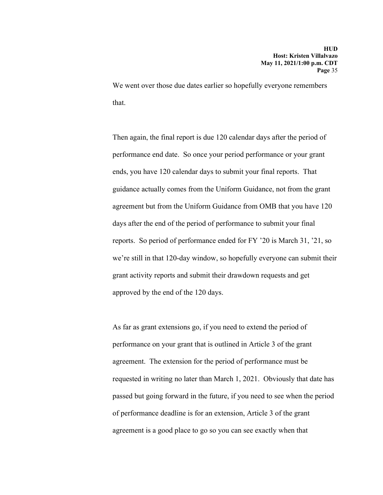We went over those due dates earlier so hopefully everyone remembers that.

Then again, the final report is due 120 calendar days after the period of performance end date. So once your period performance or your grant ends, you have 120 calendar days to submit your final reports. That guidance actually comes from the Uniform Guidance, not from the grant agreement but from the Uniform Guidance from OMB that you have 120 days after the end of the period of performance to submit your final reports. So period of performance ended for FY '20 is March 31, '21, so we're still in that 120-day window, so hopefully everyone can submit their grant activity reports and submit their drawdown requests and get approved by the end of the 120 days.

As far as grant extensions go, if you need to extend the period of performance on your grant that is outlined in Article 3 of the grant agreement. The extension for the period of performance must be requested in writing no later than March 1, 2021. Obviously that date has passed but going forward in the future, if you need to see when the period of performance deadline is for an extension, Article 3 of the grant agreement is a good place to go so you can see exactly when that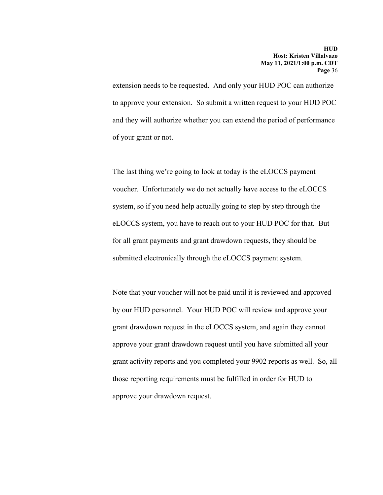extension needs to be requested. And only your HUD POC can authorize to approve your extension. So submit a written request to your HUD POC and they will authorize whether you can extend the period of performance of your grant or not.

The last thing we're going to look at today is the eLOCCS payment voucher. Unfortunately we do not actually have access to the eLOCCS system, so if you need help actually going to step by step through the eLOCCS system, you have to reach out to your HUD POC for that. But for all grant payments and grant drawdown requests, they should be submitted electronically through the eLOCCS payment system.

Note that your voucher will not be paid until it is reviewed and approved by our HUD personnel. Your HUD POC will review and approve your grant drawdown request in the eLOCCS system, and again they cannot approve your grant drawdown request until you have submitted all your grant activity reports and you completed your 9902 reports as well. So, all those reporting requirements must be fulfilled in order for HUD to approve your drawdown request.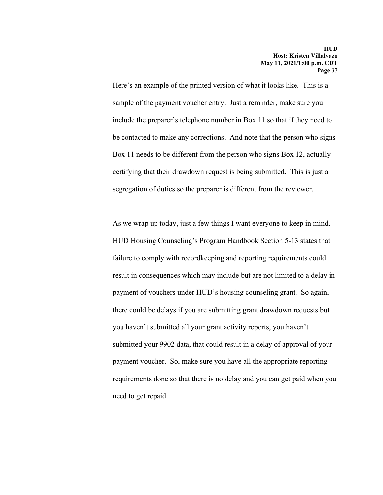Here's an example of the printed version of what it looks like. This is a sample of the payment voucher entry. Just a reminder, make sure you include the preparer's telephone number in Box 11 so that if they need to be contacted to make any corrections. And note that the person who signs Box 11 needs to be different from the person who signs Box 12, actually certifying that their drawdown request is being submitted. This is just a segregation of duties so the preparer is different from the reviewer.

As we wrap up today, just a few things I want everyone to keep in mind. HUD Housing Counseling's Program Handbook Section 5-13 states that failure to comply with recordkeeping and reporting requirements could result in consequences which may include but are not limited to a delay in payment of vouchers under HUD's housing counseling grant. So again, there could be delays if you are submitting grant drawdown requests but you haven't submitted all your grant activity reports, you haven't submitted your 9902 data, that could result in a delay of approval of your payment voucher. So, make sure you have all the appropriate reporting requirements done so that there is no delay and you can get paid when you need to get repaid.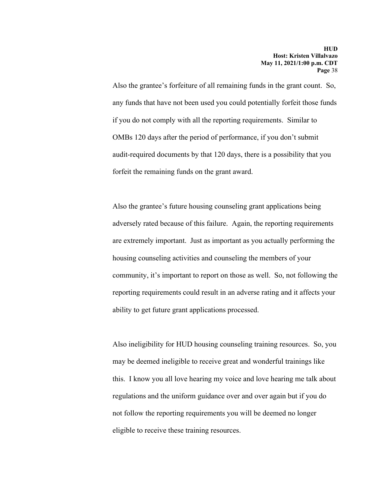Also the grantee's forfeiture of all remaining funds in the grant count. So, any funds that have not been used you could potentially forfeit those funds if you do not comply with all the reporting requirements. Similar to OMBs 120 days after the period of performance, if you don't submit audit-required documents by that 120 days, there is a possibility that you forfeit the remaining funds on the grant award.

Also the grantee's future housing counseling grant applications being adversely rated because of this failure. Again, the reporting requirements are extremely important. Just as important as you actually performing the housing counseling activities and counseling the members of your community, it's important to report on those as well. So, not following the reporting requirements could result in an adverse rating and it affects your ability to get future grant applications processed.

Also ineligibility for HUD housing counseling training resources. So, you may be deemed ineligible to receive great and wonderful trainings like this. I know you all love hearing my voice and love hearing me talk about regulations and the uniform guidance over and over again but if you do not follow the reporting requirements you will be deemed no longer eligible to receive these training resources.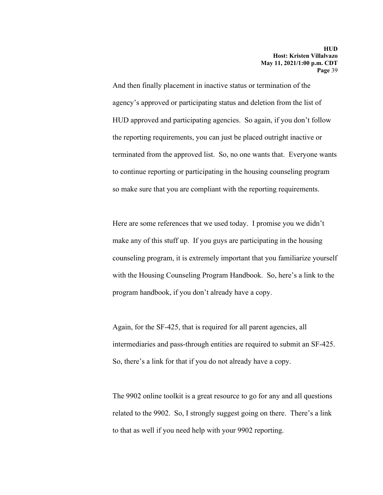And then finally placement in inactive status or termination of the agency's approved or participating status and deletion from the list of HUD approved and participating agencies. So again, if you don't follow the reporting requirements, you can just be placed outright inactive or terminated from the approved list. So, no one wants that. Everyone wants to continue reporting or participating in the housing counseling program so make sure that you are compliant with the reporting requirements.

Here are some references that we used today. I promise you we didn't make any of this stuff up. If you guys are participating in the housing counseling program, it is extremely important that you familiarize yourself with the Housing Counseling Program Handbook. So, here's a link to the program handbook, if you don't already have a copy.

Again, for the SF-425, that is required for all parent agencies, all intermediaries and pass-through entities are required to submit an SF-425. So, there's a link for that if you do not already have a copy.

The 9902 online toolkit is a great resource to go for any and all questions related to the 9902. So, I strongly suggest going on there. There's a link to that as well if you need help with your 9902 reporting.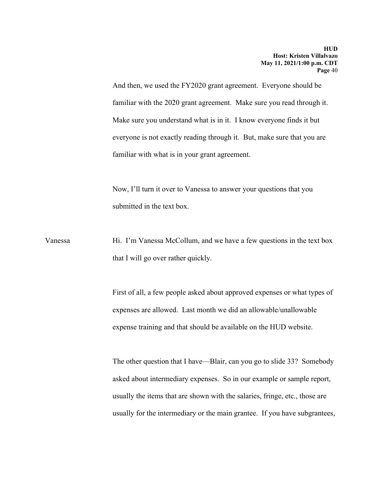And then, we used the FY2020 grant agreement. Everyone should be familiar with the 2020 grant agreement. Make sure you read through it. Make sure you understand what is in it. I know everyone finds it but everyone is not exactly reading through it. But, make sure that you are familiar with what is in your grant agreement.

Now, I'll turn it over to Vanessa to answer your questions that you submitted in the text box.

Vanessa Hi. I'm Vanessa McCollum, and we have a few questions in the text box that I will go over rather quickly.

> First of all, a few people asked about approved expenses or what types of expenses are allowed. Last month we did an allowable/unallowable expense training and that should be available on the HUD website.

> The other question that I have—Blair, can you go to slide 33? Somebody asked about intermediary expenses. So in our example or sample report, usually the items that are shown with the salaries, fringe, etc., those are usually for the intermediary or the main grantee. If you have subgrantees,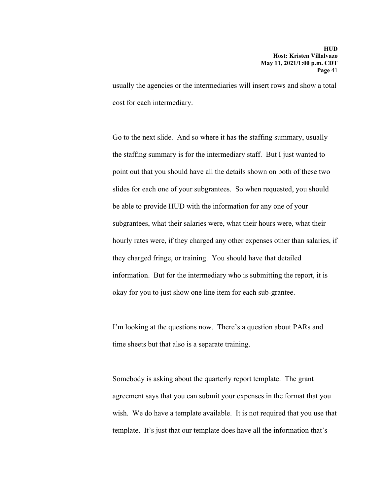usually the agencies or the intermediaries will insert rows and show a total cost for each intermediary.

Go to the next slide. And so where it has the staffing summary, usually the staffing summary is for the intermediary staff. But I just wanted to point out that you should have all the details shown on both of these two slides for each one of your subgrantees. So when requested, you should be able to provide HUD with the information for any one of your subgrantees, what their salaries were, what their hours were, what their hourly rates were, if they charged any other expenses other than salaries, if they charged fringe, or training. You should have that detailed information. But for the intermediary who is submitting the report, it is okay for you to just show one line item for each sub-grantee.

I'm looking at the questions now. There's a question about PARs and time sheets but that also is a separate training.

Somebody is asking about the quarterly report template. The grant agreement says that you can submit your expenses in the format that you wish. We do have a template available. It is not required that you use that template. It's just that our template does have all the information that's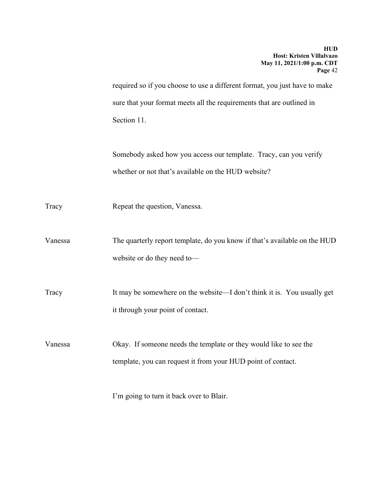required so if you choose to use a different format, you just have to make sure that your format meets all the requirements that are outlined in Section 11.

Somebody asked how you access our template. Tracy, can you verify whether or not that's available on the HUD website?

Tracy Repeat the question, Vanessa.

Vanessa The quarterly report template, do you know if that's available on the HUD website or do they need to—

Tracy It may be somewhere on the website—I don't think it is. You usually get it through your point of contact.

Vanessa Okay. If someone needs the template or they would like to see the template, you can request it from your HUD point of contact.

I'm going to turn it back over to Blair.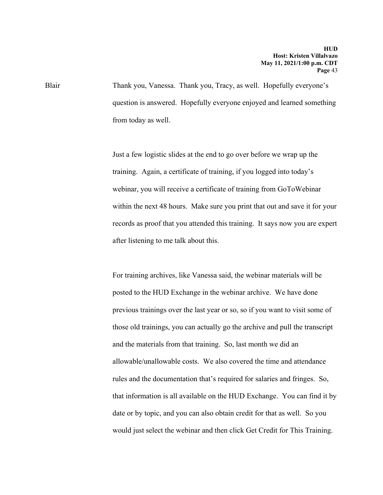Blair Thank you, Vanessa. Thank you, Tracy, as well. Hopefully everyone's question is answered. Hopefully everyone enjoyed and learned something from today as well.

> Just a few logistic slides at the end to go over before we wrap up the training. Again, a certificate of training, if you logged into today's webinar, you will receive a certificate of training from GoToWebinar within the next 48 hours. Make sure you print that out and save it for your records as proof that you attended this training. It says now you are expert after listening to me talk about this.

> For training archives, like Vanessa said, the webinar materials will be posted to the HUD Exchange in the webinar archive. We have done previous trainings over the last year or so, so if you want to visit some of those old trainings, you can actually go the archive and pull the transcript and the materials from that training. So, last month we did an allowable/unallowable costs. We also covered the time and attendance rules and the documentation that's required for salaries and fringes. So, that information is all available on the HUD Exchange. You can find it by date or by topic, and you can also obtain credit for that as well. So you would just select the webinar and then click Get Credit for This Training.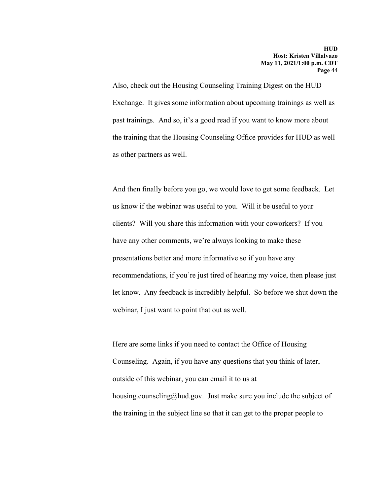Also, check out the Housing Counseling Training Digest on the HUD Exchange. It gives some information about upcoming trainings as well as past trainings. And so, it's a good read if you want to know more about the training that the Housing Counseling Office provides for HUD as well as other partners as well.

And then finally before you go, we would love to get some feedback. Let us know if the webinar was useful to you. Will it be useful to your clients? Will you share this information with your coworkers? If you have any other comments, we're always looking to make these presentations better and more informative so if you have any recommendations, if you're just tired of hearing my voice, then please just let know. Any feedback is incredibly helpful. So before we shut down the webinar, I just want to point that out as well.

Here are some links if you need to contact the Office of Housing Counseling. Again, if you have any questions that you think of later, outside of this webinar, you can email it to us at housing.counseling@hud.gov. Just make sure you include the subject of the training in the subject line so that it can get to the proper people to